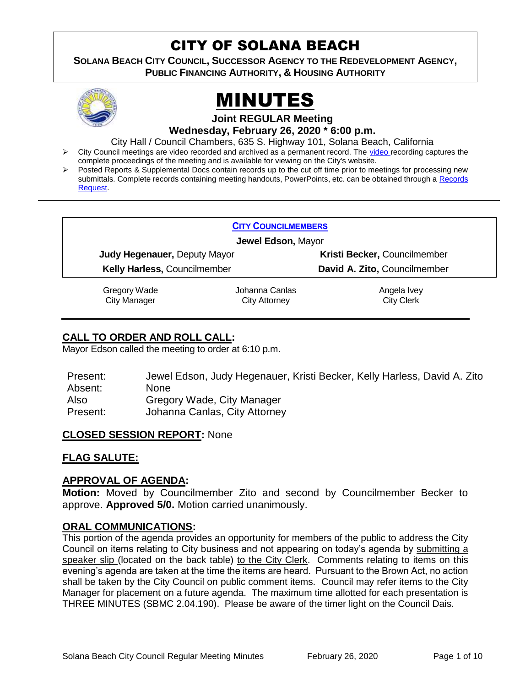# CITY OF SOLANA BEACH

**SOLANA BEACH CITY COUNCIL, SUCCESSOR AGENCY TO THE REDEVELOPMENT AGENCY, PUBLIC FINANCING AUTHORITY, & HOUSING AUTHORITY** 





**Joint REGULAR Meeting**

**Wednesday, February 26, 2020 \* 6:00 p.m.** 

City Hall / Council Chambers, 635 S. Highway 101, Solana Beach, California

- City Council meetings are [video r](https://solanabeach.12milesout.com/#page=1)ecorded and archived as a permanent record. The video recording captures the complete proceedings of the meeting and is available for viewing on the City's website.
- Posted Reports & Supplemental Docs contain records up to the cut off time prior to meetings for processing new submittals. Complete records containing meeting handouts, PowerPoints, etc. can be obtained through a Records [Request.](http://www.ci.solana-beach.ca.us/index.asp?SEC=F5D45D10-70CE-4291-A27C-7BD633FC6742&Type=B_BASIC)

| <b>CITY COUNCILMEMBERS</b>          |                              |
|-------------------------------------|------------------------------|
| Jewel Edson, Mayor                  |                              |
| <b>Judy Hegenauer, Deputy Mayor</b> | Kristi Becker, Councilmember |
| <b>Kelly Harless, Councilmember</b> | David A. Zito, Councilmember |
| المتحامية والمتحاف والمرابط         | المتحديات الحالح محامدات     |

Gregory Wade City Manager

Johanna Canlas City Attorney

Angela Ivey City Clerk

# **CALL TO ORDER AND ROLL CALL:**

Mayor Edson called the meeting to order at 6:10 p.m.

| Present: | Jewel Edson, Judy Hegenauer, Kristi Becker, Kelly Harless, David A. Zito |
|----------|--------------------------------------------------------------------------|
| Absent:  | <b>None</b>                                                              |
| Also     | Gregory Wade, City Manager                                               |
| Present: | Johanna Canlas, City Attorney                                            |

# **CLOSED SESSION REPORT:** None

# **FLAG SALUTE:**

# **APPROVAL OF AGENDA:**

**Motion:** Moved by Councilmember Zito and second by Councilmember Becker to approve. **Approved 5/0.** Motion carried unanimously.

# **ORAL COMMUNICATIONS:**

This portion of the agenda provides an opportunity for members of the public to address the City Council on items relating to City business and not appearing on today's agenda by submitting a speaker slip (located on the back table) to the City Clerk. Comments relating to items on this evening's agenda are taken at the time the items are heard. Pursuant to the Brown Act, no action shall be taken by the City Council on public comment items. Council may refer items to the City Manager for placement on a future agenda. The maximum time allotted for each presentation is THREE MINUTES (SBMC 2.04.190). Please be aware of the timer light on the Council Dais.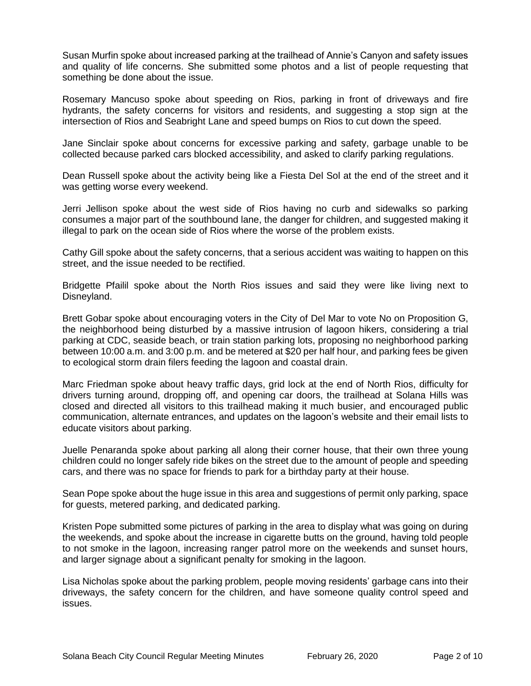Susan Murfin spoke about increased parking at the trailhead of Annie's Canyon and safety issues and quality of life concerns. She submitted some photos and a list of people requesting that something be done about the issue.

Rosemary Mancuso spoke about speeding on Rios, parking in front of driveways and fire hydrants, the safety concerns for visitors and residents, and suggesting a stop sign at the intersection of Rios and Seabright Lane and speed bumps on Rios to cut down the speed.

Jane Sinclair spoke about concerns for excessive parking and safety, garbage unable to be collected because parked cars blocked accessibility, and asked to clarify parking regulations.

Dean Russell spoke about the activity being like a Fiesta Del Sol at the end of the street and it was getting worse every weekend.

Jerri Jellison spoke about the west side of Rios having no curb and sidewalks so parking consumes a major part of the southbound lane, the danger for children, and suggested making it illegal to park on the ocean side of Rios where the worse of the problem exists.

Cathy Gill spoke about the safety concerns, that a serious accident was waiting to happen on this street, and the issue needed to be rectified.

Bridgette Pfailil spoke about the North Rios issues and said they were like living next to Disneyland.

Brett Gobar spoke about encouraging voters in the City of Del Mar to vote No on Proposition G, the neighborhood being disturbed by a massive intrusion of lagoon hikers, considering a trial parking at CDC, seaside beach, or train station parking lots, proposing no neighborhood parking between 10:00 a.m. and 3:00 p.m. and be metered at \$20 per half hour, and parking fees be given to ecological storm drain filers feeding the lagoon and coastal drain.

Marc Friedman spoke about heavy traffic days, grid lock at the end of North Rios, difficulty for drivers turning around, dropping off, and opening car doors, the trailhead at Solana Hills was closed and directed all visitors to this trailhead making it much busier, and encouraged public communication, alternate entrances, and updates on the lagoon's website and their email lists to educate visitors about parking.

Juelle Penaranda spoke about parking all along their corner house, that their own three young children could no longer safely ride bikes on the street due to the amount of people and speeding cars, and there was no space for friends to park for a birthday party at their house.

Sean Pope spoke about the huge issue in this area and suggestions of permit only parking, space for guests, metered parking, and dedicated parking.

Kristen Pope submitted some pictures of parking in the area to display what was going on during the weekends, and spoke about the increase in cigarette butts on the ground, having told people to not smoke in the lagoon, increasing ranger patrol more on the weekends and sunset hours, and larger signage about a significant penalty for smoking in the lagoon.

Lisa Nicholas spoke about the parking problem, people moving residents' garbage cans into their driveways, the safety concern for the children, and have someone quality control speed and issues.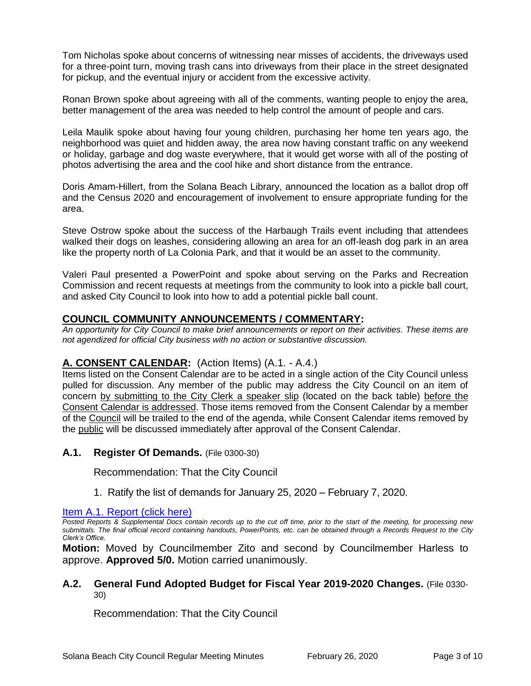Tom Nicholas spoke about concerns of witnessing near misses of accidents, the driveways used for a three-point turn, moving trash cans into driveways from their place in the street designated for pickup, and the eventual injury or accident from the excessive activity.

Ronan Brown spoke about agreeing with all of the comments, wanting people to enjoy the area, better management of the area was needed to help control the amount of people and cars.

Leila Maulik spoke about having four young children, purchasing her home ten years ago, the neighborhood was quiet and hidden away, the area now having constant traffic on any weekend or holiday, garbage and dog waste everywhere, that it would get worse with all of the posting of photos advertising the area and the cool hike and short distance from the entrance.

Doris Amam-Hillert, from the Solana Beach Library, announced the location as a ballot drop off and the Census 2020 and encouragement of involvement to ensure appropriate funding for the area.

Steve Ostrow spoke about the success of the Harbaugh Trails event including that attendees walked their dogs on leashes, considering allowing an area for an off-leash dog park in an area like the property north of La Colonia Park, and that it would be an asset to the community.

Valeri Paul presented a PowerPoint and spoke about serving on the Parks and Recreation Commission and recent requests at meetings from the community to look into a pickle ball court, and asked City Council to look into how to add a potential pickle ball count.

## **COUNCIL COMMUNITY ANNOUNCEMENTS / COMMENTARY:**

*An opportunity for City Council to make brief announcements or report on their activities. These items are not agendized for official City business with no action or substantive discussion.* 

# **A. CONSENT CALENDAR:** (Action Items) (A.1. - A.4.)

Items listed on the Consent Calendar are to be acted in a single action of the City Council unless pulled for discussion. Any member of the public may address the City Council on an item of concern by submitting to the City Clerk a speaker slip (located on the back table) before the Consent Calendar is addressed. Those items removed from the Consent Calendar by a member of the Council will be trailed to the end of the agenda, while Consent Calendar items removed by the public will be discussed immediately after approval of the Consent Calendar.

#### **A.1. Register Of Demands.** (File 0300-30)

Recommendation: That the City Council

1. Ratify the list of demands for January 25, 2020 – February 7, 2020.

[Item A.1. Report \(click here\)](https://solanabeach.govoffice3.com/vertical/Sites/%7B840804C2-F869-4904-9AE3-720581350CE7%7D/uploads/Item_A.1_Report_(click_here)_02-26-20.PDF)

*Posted Reports & Supplemental Docs contain records up to the cut off time, prior to the start of the meeting, for processing new submittals. The final official record containing handouts, PowerPoints, etc. can be obtained through a Records Request to the City Clerk's Office.*

**Motion:** Moved by Councilmember Zito and second by Councilmember Harless to approve. **Approved 5/0.** Motion carried unanimously.

#### **A.2. General Fund Adopted Budget for Fiscal Year 2019-2020 Changes.** (File 0330- 30)

Recommendation: That the City Council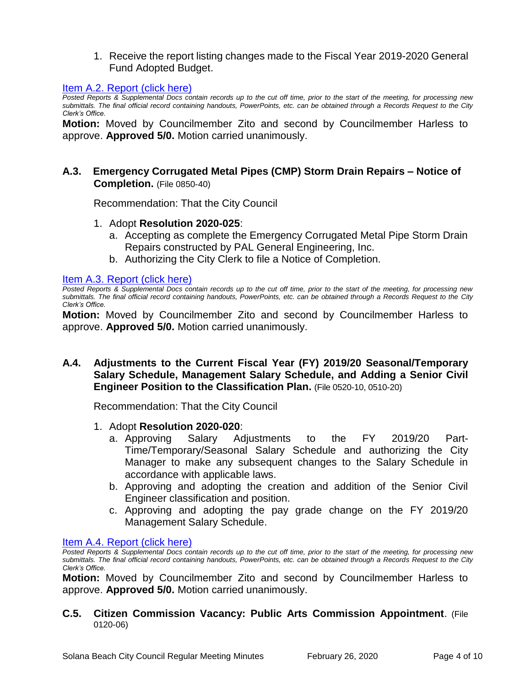1. Receive the report listing changes made to the Fiscal Year 2019-2020 General Fund Adopted Budget.

#### [Item A.2. Report \(click here\)](https://solanabeach.govoffice3.com/vertical/Sites/%7B840804C2-F869-4904-9AE3-720581350CE7%7D/uploads/Item_A.2_Report_(click_here)_02-26-20.PDF)

*Posted Reports & Supplemental Docs contain records up to the cut off time, prior to the start of the meeting, for processing new submittals. The final official record containing handouts, PowerPoints, etc. can be obtained through a Records Request to the City Clerk's Office.*

**Motion:** Moved by Councilmember Zito and second by Councilmember Harless to approve. **Approved 5/0.** Motion carried unanimously.

## **A.3. Emergency Corrugated Metal Pipes (CMP) Storm Drain Repairs – Notice of Completion.** (File 0850-40)

Recommendation: That the City Council

- 1. Adopt **Resolution 2020-025**:
	- a. Accepting as complete the Emergency Corrugated Metal Pipe Storm Drain Repairs constructed by PAL General Engineering, Inc.
	- b. Authorizing the City Clerk to file a Notice of Completion.

[Item A.3. Report \(click here\)](https://solanabeach.govoffice3.com/vertical/Sites/%7B840804C2-F869-4904-9AE3-720581350CE7%7D/uploads/Item_A.3_Report_(click_here)_02-26-20.PDF)

*Posted Reports & Supplemental Docs contain records up to the cut off time, prior to the start of the meeting, for processing new submittals. The final official record containing handouts, PowerPoints, etc. can be obtained through a Records Request to the City Clerk's Office.*

**Motion:** Moved by Councilmember Zito and second by Councilmember Harless to approve. **Approved 5/0.** Motion carried unanimously.

## **A.4. Adjustments to the Current Fiscal Year (FY) 2019/20 Seasonal/Temporary Salary Schedule, Management Salary Schedule, and Adding a Senior Civil Engineer Position to the Classification Plan.** (File 0520-10, 0510-20)

Recommendation: That the City Council

- 1. Adopt **Resolution 2020-020**:
	- a. Approving Salary Adjustments to the FY 2019/20 Part-Time/Temporary/Seasonal Salary Schedule and authorizing the City Manager to make any subsequent changes to the Salary Schedule in accordance with applicable laws.
	- b. Approving and adopting the creation and addition of the Senior Civil Engineer classification and position.
	- c. Approving and adopting the pay grade change on the FY 2019/20 Management Salary Schedule.

[Item A.4. Report \(click here\)](https://solanabeach.govoffice3.com/vertical/Sites/%7B840804C2-F869-4904-9AE3-720581350CE7%7D/uploads/Item_A.4_Report_(click_here)_02-26-20_.PDF)

*Posted Reports & Supplemental Docs contain records up to the cut off time, prior to the start of the meeting, for processing new submittals. The final official record containing handouts, PowerPoints, etc. can be obtained through a Records Request to the City Clerk's Office.*

**Motion:** Moved by Councilmember Zito and second by Councilmember Harless to approve. **Approved 5/0.** Motion carried unanimously.

**C.5. Citizen Commission Vacancy: Public Arts Commission Appointment**. (File 0120-06)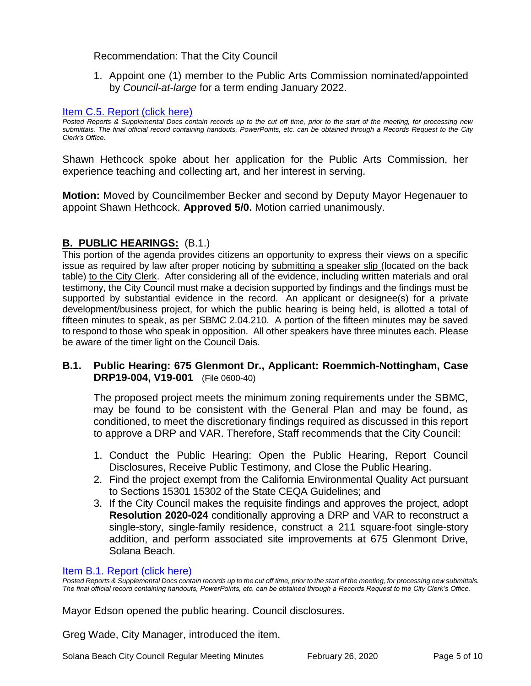## Recommendation: That the City Council

1. Appoint one (1) member to the Public Arts Commission nominated/appointed by *Council-at-large* for a term ending January 2022.

#### [Item C.5. Report \(click here\)](https://solanabeach.govoffice3.com/vertical/Sites/%7B840804C2-F869-4904-9AE3-720581350CE7%7D/uploads/Item_C.5_Report_(click_here)_02-26-20.PDF)

*Posted Reports & Supplemental Docs contain records up to the cut off time, prior to the start of the meeting, for processing new submittals. The final official record containing handouts, PowerPoints, etc. can be obtained through a Records Request to the City Clerk's Office.*

Shawn Hethcock spoke about her application for the Public Arts Commission, her experience teaching and collecting art, and her interest in serving.

**Motion:** Moved by Councilmember Becker and second by Deputy Mayor Hegenauer to appoint Shawn Hethcock. **Approved 5/0.** Motion carried unanimously.

# **B. PUBLIC HEARINGS:** (B.1.)

This portion of the agenda provides citizens an opportunity to express their views on a specific issue as required by law after proper noticing by submitting a speaker slip (located on the back table) to the City Clerk. After considering all of the evidence, including written materials and oral testimony, the City Council must make a decision supported by findings and the findings must be supported by substantial evidence in the record. An applicant or designee(s) for a private development/business project, for which the public hearing is being held, is allotted a total of fifteen minutes to speak, as per SBMC 2.04.210. A portion of the fifteen minutes may be saved to respond to those who speak in opposition. All other speakers have three minutes each. Please be aware of the timer light on the Council Dais.

## **B.1. Public Hearing: 675 Glenmont Dr., Applicant: Roemmich-Nottingham, Case DRP19-004, V19-001** (File 0600-40)

The proposed project meets the minimum zoning requirements under the SBMC, may be found to be consistent with the General Plan and may be found, as conditioned, to meet the discretionary findings required as discussed in this report to approve a DRP and VAR. Therefore, Staff recommends that the City Council:

- 1. Conduct the Public Hearing: Open the Public Hearing, Report Council Disclosures, Receive Public Testimony, and Close the Public Hearing.
- 2. Find the project exempt from the California Environmental Quality Act pursuant to Sections 15301 15302 of the State CEQA Guidelines; and
- 3. If the City Council makes the requisite findings and approves the project, adopt **Resolution 2020-024** conditionally approving a DRP and VAR to reconstruct a single-story, single-family residence, construct a 211 square-foot single-story addition, and perform associated site improvements at 675 Glenmont Drive, Solana Beach.

#### [Item B.1. Report \(click here\)](https://solanabeach.govoffice3.com/vertical/Sites/%7B840804C2-F869-4904-9AE3-720581350CE7%7D/uploads/Item_B.1_Report_(click_here)_02-26-20.PDF)

*Posted Reports & Supplemental Docs contain records up to the cut off time, prior to the start of the meeting, for processing new submittals. The final official record containing handouts, PowerPoints, etc. can be obtained through a Records Request to the City Clerk's Office.*

Mayor Edson opened the public hearing. Council disclosures.

Greg Wade, City Manager, introduced the item.

Solana Beach City Council Regular Meeting Minutes February 26, 2020 Page 5 of 10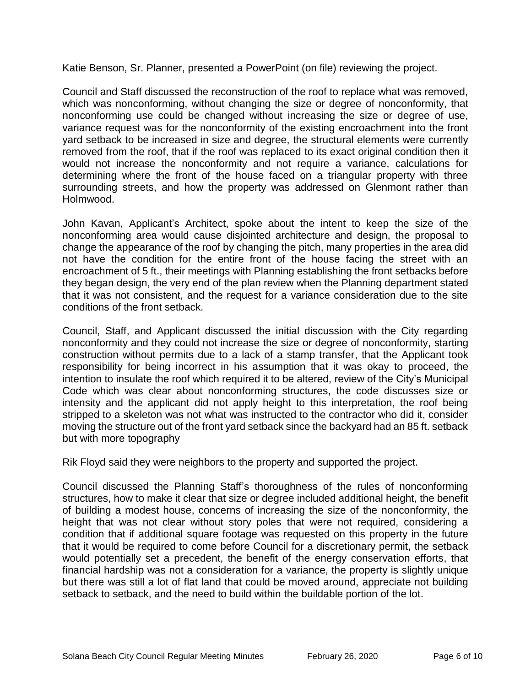Katie Benson, Sr. Planner, presented a PowerPoint (on file) reviewing the project.

Council and Staff discussed the reconstruction of the roof to replace what was removed, which was nonconforming, without changing the size or degree of nonconformity, that nonconforming use could be changed without increasing the size or degree of use, variance request was for the nonconformity of the existing encroachment into the front yard setback to be increased in size and degree, the structural elements were currently removed from the roof, that if the roof was replaced to its exact original condition then it would not increase the nonconformity and not require a variance, calculations for determining where the front of the house faced on a triangular property with three surrounding streets, and how the property was addressed on Glenmont rather than Holmwood.

John Kavan, Applicant's Architect, spoke about the intent to keep the size of the nonconforming area would cause disjointed architecture and design, the proposal to change the appearance of the roof by changing the pitch, many properties in the area did not have the condition for the entire front of the house facing the street with an encroachment of 5 ft., their meetings with Planning establishing the front setbacks before they began design, the very end of the plan review when the Planning department stated that it was not consistent, and the request for a variance consideration due to the site conditions of the front setback.

Council, Staff, and Applicant discussed the initial discussion with the City regarding nonconformity and they could not increase the size or degree of nonconformity, starting construction without permits due to a lack of a stamp transfer, that the Applicant took responsibility for being incorrect in his assumption that it was okay to proceed, the intention to insulate the roof which required it to be altered, review of the City's Municipal Code which was clear about nonconforming structures, the code discusses size or intensity and the applicant did not apply height to this interpretation, the roof being stripped to a skeleton was not what was instructed to the contractor who did it, consider moving the structure out of the front yard setback since the backyard had an 85 ft. setback but with more topography

Rik Floyd said they were neighbors to the property and supported the project.

Council discussed the Planning Staff's thoroughness of the rules of nonconforming structures, how to make it clear that size or degree included additional height, the benefit of building a modest house, concerns of increasing the size of the nonconformity, the height that was not clear without story poles that were not required, considering a condition that if additional square footage was requested on this property in the future that it would be required to come before Council for a discretionary permit, the setback would potentially set a precedent, the benefit of the energy conservation efforts, that financial hardship was not a consideration for a variance, the property is slightly unique but there was still a lot of flat land that could be moved around, appreciate not building setback to setback, and the need to build within the buildable portion of the lot.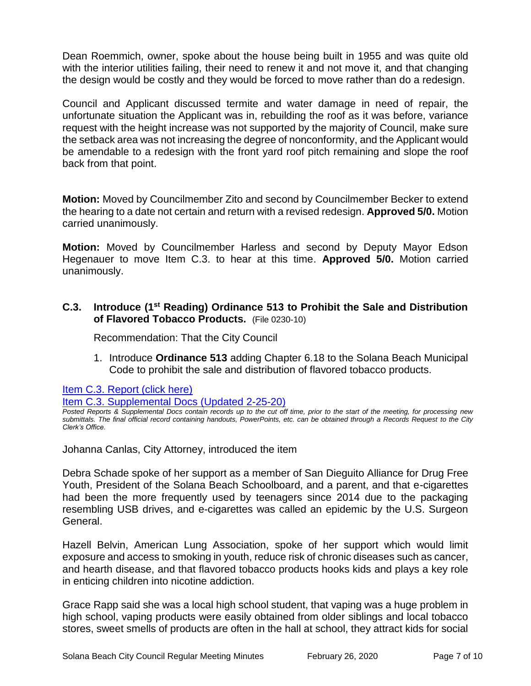Dean Roemmich, owner, spoke about the house being built in 1955 and was quite old with the interior utilities failing, their need to renew it and not move it, and that changing the design would be costly and they would be forced to move rather than do a redesign.

Council and Applicant discussed termite and water damage in need of repair, the unfortunate situation the Applicant was in, rebuilding the roof as it was before, variance request with the height increase was not supported by the majority of Council, make sure the setback area was not increasing the degree of nonconformity, and the Applicant would be amendable to a redesign with the front yard roof pitch remaining and slope the roof back from that point.

**Motion:** Moved by Councilmember Zito and second by Councilmember Becker to extend the hearing to a date not certain and return with a revised redesign. **Approved 5/0.** Motion carried unanimously.

**Motion:** Moved by Councilmember Harless and second by Deputy Mayor Edson Hegenauer to move Item C.3. to hear at this time. **Approved 5/0.** Motion carried unanimously.

# **C.3. Introduce (1st Reading) Ordinance 513 to Prohibit the Sale and Distribution of Flavored Tobacco Products.** (File 0230-10)

Recommendation: That the City Council

1. Introduce **Ordinance 513** adding Chapter 6.18 to the Solana Beach Municipal Code to prohibit the sale and distribution of flavored tobacco products.

[Item C.3. Report \(click here\)](https://solanabeach.govoffice3.com/vertical/Sites/%7B840804C2-F869-4904-9AE3-720581350CE7%7D/uploads/Item_C.3_Report_(click_here)_02-26-20.PDF)

[Item C.3. Supplemental Docs \(Updated 2-25-20\)](https://solanabeach.govoffice3.com/vertical/Sites/%7B840804C2-F869-4904-9AE3-720581350CE7%7D/uploads/Item_C.3._Supplemental_Docs_(2-25-20).pdf)

*Posted Reports & Supplemental Docs contain records up to the cut off time, prior to the start of the meeting, for processing new submittals. The final official record containing handouts, PowerPoints, etc. can be obtained through a Records Request to the City Clerk's Office.*

Johanna Canlas, City Attorney, introduced the item

Debra Schade spoke of her support as a member of San Dieguito Alliance for Drug Free Youth, President of the Solana Beach Schoolboard, and a parent, and that e-cigarettes had been the more frequently used by teenagers since 2014 due to the packaging resembling USB drives, and e-cigarettes was called an epidemic by the U.S. Surgeon General.

Hazell Belvin, American Lung Association, spoke of her support which would limit exposure and access to smoking in youth, reduce risk of chronic diseases such as cancer, and hearth disease, and that flavored tobacco products hooks kids and plays a key role in enticing children into nicotine addiction.

Grace Rapp said she was a local high school student, that vaping was a huge problem in high school, vaping products were easily obtained from older siblings and local tobacco stores, sweet smells of products are often in the hall at school, they attract kids for social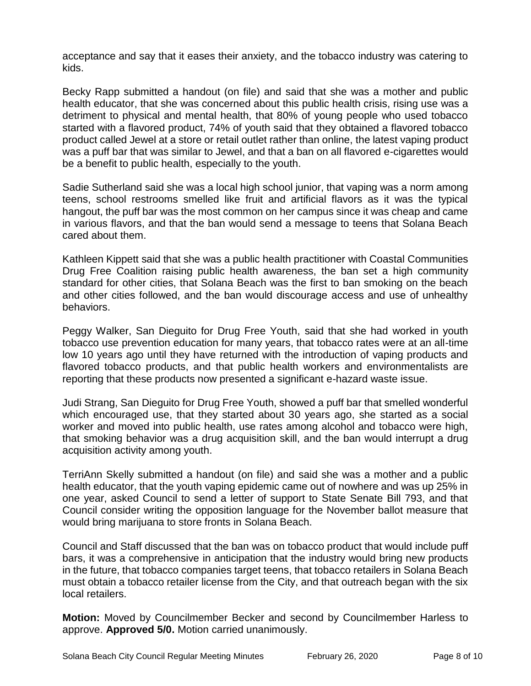acceptance and say that it eases their anxiety, and the tobacco industry was catering to kids.

Becky Rapp submitted a handout (on file) and said that she was a mother and public health educator, that she was concerned about this public health crisis, rising use was a detriment to physical and mental health, that 80% of young people who used tobacco started with a flavored product, 74% of youth said that they obtained a flavored tobacco product called Jewel at a store or retail outlet rather than online, the latest vaping product was a puff bar that was similar to Jewel, and that a ban on all flavored e-cigarettes would be a benefit to public health, especially to the youth.

Sadie Sutherland said she was a local high school junior, that vaping was a norm among teens, school restrooms smelled like fruit and artificial flavors as it was the typical hangout, the puff bar was the most common on her campus since it was cheap and came in various flavors, and that the ban would send a message to teens that Solana Beach cared about them.

Kathleen Kippett said that she was a public health practitioner with Coastal Communities Drug Free Coalition raising public health awareness, the ban set a high community standard for other cities, that Solana Beach was the first to ban smoking on the beach and other cities followed, and the ban would discourage access and use of unhealthy behaviors.

Peggy Walker, San Dieguito for Drug Free Youth, said that she had worked in youth tobacco use prevention education for many years, that tobacco rates were at an all-time low 10 years ago until they have returned with the introduction of vaping products and flavored tobacco products, and that public health workers and environmentalists are reporting that these products now presented a significant e-hazard waste issue.

Judi Strang, San Dieguito for Drug Free Youth, showed a puff bar that smelled wonderful which encouraged use, that they started about 30 years ago, she started as a social worker and moved into public health, use rates among alcohol and tobacco were high, that smoking behavior was a drug acquisition skill, and the ban would interrupt a drug acquisition activity among youth.

TerriAnn Skelly submitted a handout (on file) and said she was a mother and a public health educator, that the youth vaping epidemic came out of nowhere and was up 25% in one year, asked Council to send a letter of support to State Senate Bill 793, and that Council consider writing the opposition language for the November ballot measure that would bring marijuana to store fronts in Solana Beach.

Council and Staff discussed that the ban was on tobacco product that would include puff bars, it was a comprehensive in anticipation that the industry would bring new products in the future, that tobacco companies target teens, that tobacco retailers in Solana Beach must obtain a tobacco retailer license from the City, and that outreach began with the six local retailers.

**Motion:** Moved by Councilmember Becker and second by Councilmember Harless to approve. **Approved 5/0.** Motion carried unanimously.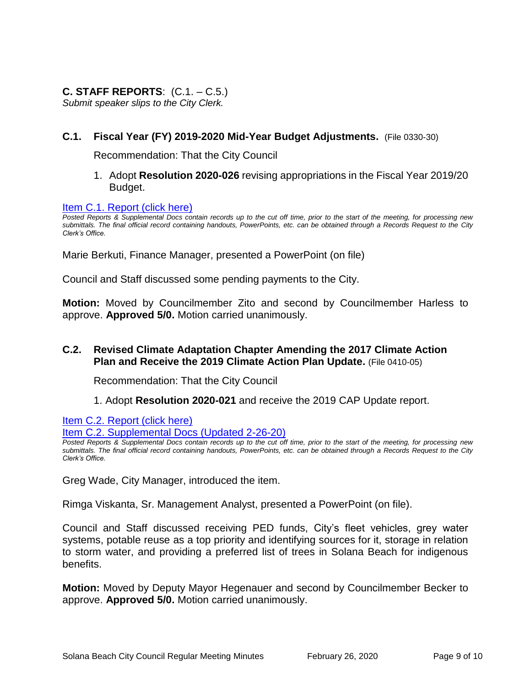# **C. STAFF REPORTS**: (C.1. – C.5.)

*Submit speaker slips to the City Clerk.*

## **C.1. Fiscal Year (FY) 2019-2020 Mid-Year Budget Adjustments.** (File 0330-30)

Recommendation: That the City Council

1. Adopt **Resolution 2020-026** revising appropriations in the Fiscal Year 2019/20 Budget.

#### [Item C.1. Report \(click here\)](https://solanabeach.govoffice3.com/vertical/Sites/%7B840804C2-F869-4904-9AE3-720581350CE7%7D/uploads/Item_C.1_Report_(click_here)_02-26-20.PDF)

*Posted Reports & Supplemental Docs contain records up to the cut off time, prior to the start of the meeting, for processing new submittals. The final official record containing handouts, PowerPoints, etc. can be obtained through a Records Request to the City Clerk's Office.*

Marie Berkuti, Finance Manager, presented a PowerPoint (on file)

Council and Staff discussed some pending payments to the City.

**Motion:** Moved by Councilmember Zito and second by Councilmember Harless to approve. **Approved 5/0.** Motion carried unanimously.

## **C.2. Revised Climate Adaptation Chapter Amending the 2017 Climate Action Plan and Receive the 2019 Climate Action Plan Update.** (File 0410-05)

Recommendation: That the City Council

#### 1. Adopt **Resolution 2020-021** and receive the 2019 CAP Update report.

Item C.2. Report (click here)

[Item C.2. Supplemental Docs \(Updated 2-26-20\)](https://solanabeach.govoffice3.com/vertical/Sites/%7B840804C2-F869-4904-9AE3-720581350CE7%7D/uploads/Item_C.2._Supplemental_Docs_(2-26-20)_-_O.pdf)

*Posted Reports & Supplemental Docs contain records up to the cut off time, prior to the start of the meeting, for processing new submittals. The final official record containing handouts, PowerPoints, etc. can be obtained through a Records Request to the City Clerk's Office.*

Greg Wade, City Manager, introduced the item.

Rimga Viskanta, Sr. Management Analyst, presented a PowerPoint (on file).

Council and Staff discussed receiving PED funds, City's fleet vehicles, grey water systems, potable reuse as a top priority and identifying sources for it, storage in relation to storm water, and providing a preferred list of trees in Solana Beach for indigenous benefits.

**Motion:** Moved by Deputy Mayor Hegenauer and second by Councilmember Becker to approve. **Approved 5/0.** Motion carried unanimously.